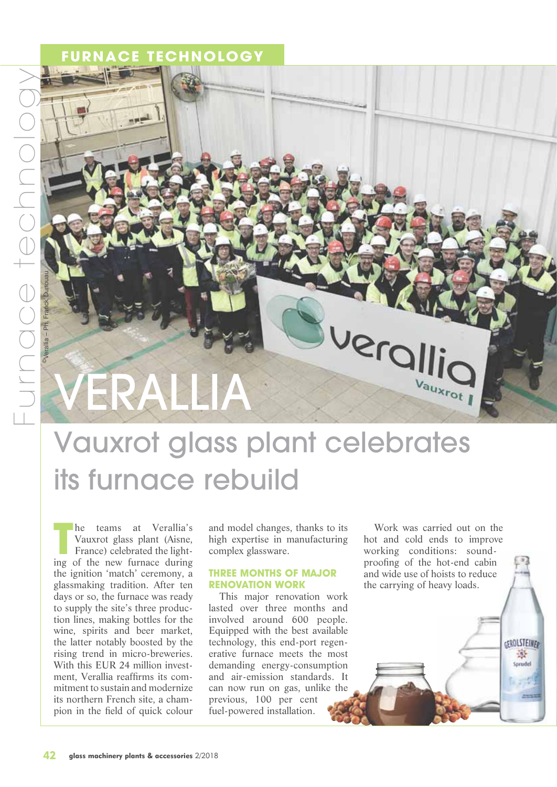©Verallia – Ph. Franck Dunouau

### **E TECHNOLOGY**

# VERALLIA

# Vauxrot glass plant celebrates its furnace rebuild

**THE TENN ENERGE SET THE NEW FURNITURE SET THE NEW FURNITURE SET AND THE NEW FURNITURE SET AND NOTE AND THE NEW FURNITURE SET AND NOTE AND THE NEW FURNITURE SET AND NOTE AND NOTE AND NOTE AND NOTE AND NOTE AND NOTE AND NOT** he teams at Verallia's Vauxrot glass plant (Aisne, France) celebrated the lightthe ignition 'match' ceremony, a glassmaking tradition. After ten days or so, the furnace was ready to supply the site's three production lines, making bottles for the wine, spirits and beer market, the latter notably boosted by the rising trend in micro-breweries. With this EUR 24 million investment, Verallia reaffirms its commitment to sustain and modernize its northern French site, a champion in the field of quick colour

and model changes, thanks to its high expertise in manufacturing complex glassware.

#### **THREE MONTHS OF MAJOR RENOVATION WORK**

This major renovation work lasted over three months and involved around 600 people. Equipped with the best available technology, this end-port regenerative furnace meets the most demanding energy-consumption and air-emission standards. It can now run on gas, unlike the previous, 100 per cent fuel-powered installation.

Work was carried out on the hot and cold ends to improve working conditions: soundproofing of the hot-end cabin and wide use of hoists to reduce the carrying of heavy loads.

> **GEROLSTEINED** 骤 Sprude

lpisu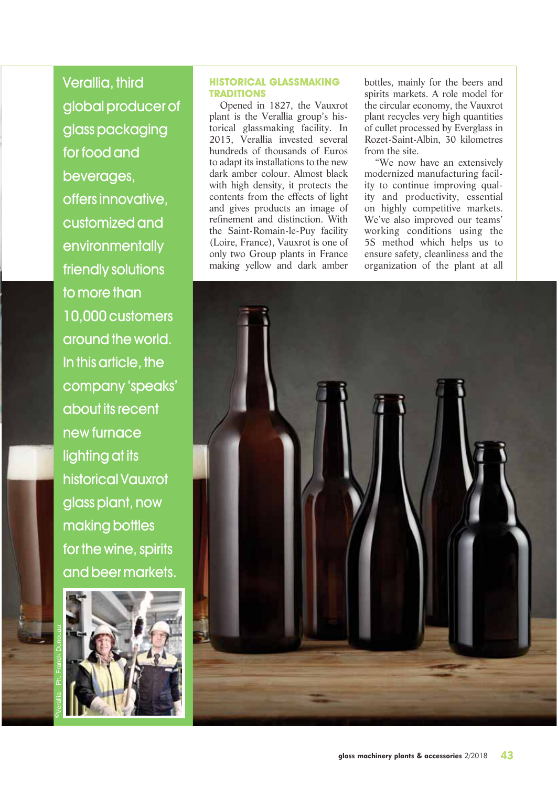Verallia, third global producer of glass packaging for food and beverages, offers innovative, customized and environmentally friendly solutions to more than 10,000 customers around the world. In this article, the company 'speaks' about its recent new furnace lighting at its historical Vauxrot glass plant, now making bottles for the wine, spirits and beer markets.



#### **HISTORICAL GLASSMAKING TRADITIONS**

Opened in 1827, the Vauxrot plant is the Verallia group's historical glassmaking facility. In 2015, Verallia invested several hundreds of thousands of Euros to adapt its installations to the new dark amber colour. Almost black with high density, it protects the contents from the effects of light and gives products an image of refinement and distinction. With the Saint-Romain-le-Puy facility (Loire, France), Vauxrot is one of only two Group plants in France making yellow and dark amber

bottles, mainly for the beers and spirits markets. A role model for the circular economy, the Vauxrot plant recycles very high quantities of cullet processed by Everglass in Rozet-Saint-Albin, 30 kilometres from the site.

"We now have an extensively modernized manufacturing facility to continue improving quality and productivity, essential on highly competitive markets. We've also improved our teams' working conditions using the 5S method which helps us to ensure safety, cleanliness and the organization of the plant at all